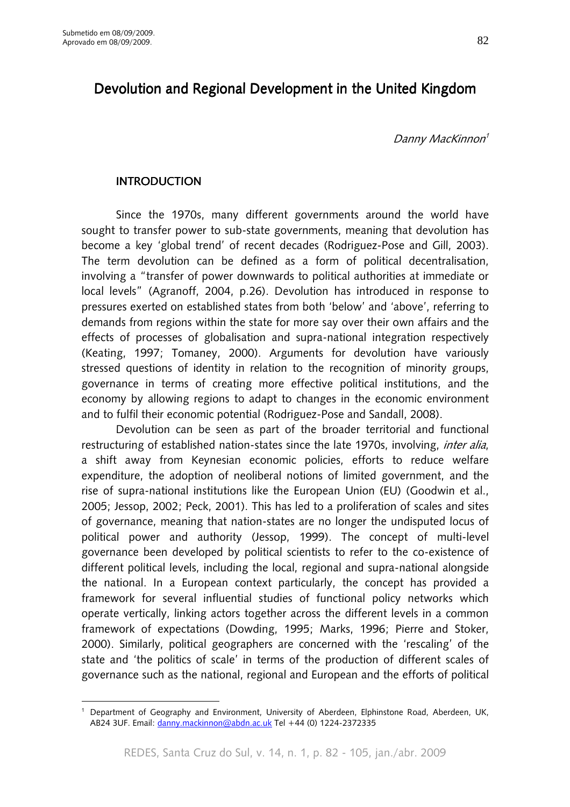$\overline{a}$ 

# Devolution and Regional Development in the United Kingdom

Danny MacKinnon<sup>1</sup>

## INTRODUCTION

Since the 1970s, many different governments around the world have sought to transfer power to sub-state governments, meaning that devolution has become a key 'global trend' of recent decades (Rodriguez-Pose and Gill, 2003). The term devolution can be defined as a form of political decentralisation, involving a "transfer of power downwards to political authorities at immediate or local levels" (Agranoff, 2004, p.26). Devolution has introduced in response to pressures exerted on established states from both 'below' and 'above', referring to demands from regions within the state for more say over their own affairs and the effects of processes of globalisation and supra-national integration respectively (Keating, 1997; Tomaney, 2000). Arguments for devolution have variously stressed questions of identity in relation to the recognition of minority groups, governance in terms of creating more effective political institutions, and the economy by allowing regions to adapt to changes in the economic environment and to fulfil their economic potential (Rodriguez-Pose and Sandall, 2008).

Devolution can be seen as part of the broader territorial and functional restructuring of established nation-states since the late 1970s, involving, *inter alia*, a shift away from Keynesian economic policies, efforts to reduce welfare expenditure, the adoption of neoliberal notions of limited government, and the rise of supra-national institutions like the European Union (EU) (Goodwin et al., 2005; Jessop, 2002; Peck, 2001). This has led to a proliferation of scales and sites of governance, meaning that nation-states are no longer the undisputed locus of political power and authority (Jessop, 1999). The concept of multi-level governance been developed by political scientists to refer to the co-existence of different political levels, including the local, regional and supra-national alongside the national. In a European context particularly, the concept has provided a framework for several influential studies of functional policy networks which operate vertically, linking actors together across the different levels in a common framework of expectations (Dowding, 1995; Marks, 1996; Pierre and Stoker, 2000). Similarly, political geographers are concerned with the 'rescaling' of the state and 'the politics of scale' in terms of the production of different scales of governance such as the national, regional and European and the efforts of political

<sup>1</sup> Department of Geography and Environment, University of Aberdeen, Elphinstone Road, Aberdeen, UK, AB24 3UF. Email: danny.mackinnon@abdn.ac.uk Tel +44 (0) 1224-2372335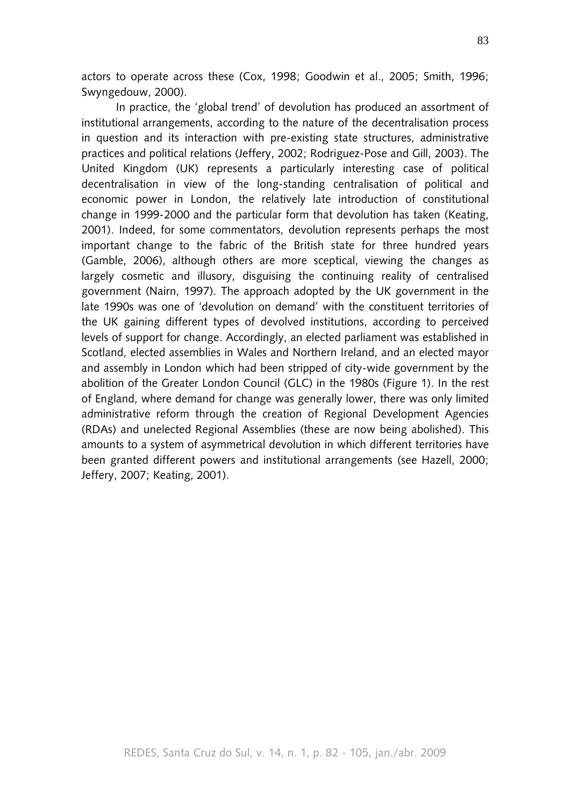actors to operate across these (Cox, 1998; Goodwin et al., 2005; Smith, 1996; Swyngedouw, 2000).

In practice, the 'global trend' of devolution has produced an assortment of institutional arrangements, according to the nature of the decentralisation process in question and its interaction with pre-existing state structures, administrative practices and political relations (Jeffery, 2002; Rodriguez-Pose and Gill, 2003). The United Kingdom (UK) represents a particularly interesting case of political decentralisation in view of the long-standing centralisation of political and economic power in London, the relatively late introduction of constitutional change in 1999-2000 and the particular form that devolution has taken (Keating, 2001). Indeed, for some commentators, devolution represents perhaps the most important change to the fabric of the British state for three hundred years (Gamble, 2006), although others are more sceptical, viewing the changes as largely cosmetic and illusory, disguising the continuing reality of centralised government (Nairn, 1997). The approach adopted by the UK government in the late 1990s was one of 'devolution on demand' with the constituent territories of the UK gaining different types of devolved institutions, according to perceived levels of support for change. Accordingly, an elected parliament was established in Scotland, elected assemblies in Wales and Northern Ireland, and an elected mayor and assembly in London which had been stripped of city-wide government by the abolition of the Greater London Council (GLC) in the 1980s (Figure 1). In the rest of England, where demand for change was generally lower, there was only limited administrative reform through the creation of Regional Development Agencies (RDAs) and unelected Regional Assemblies (these are now being abolished). This amounts to a system of asymmetrical devolution in which different territories have been granted different powers and institutional arrangements (see Hazell, 2000; Jeffery, 2007; Keating, 2001).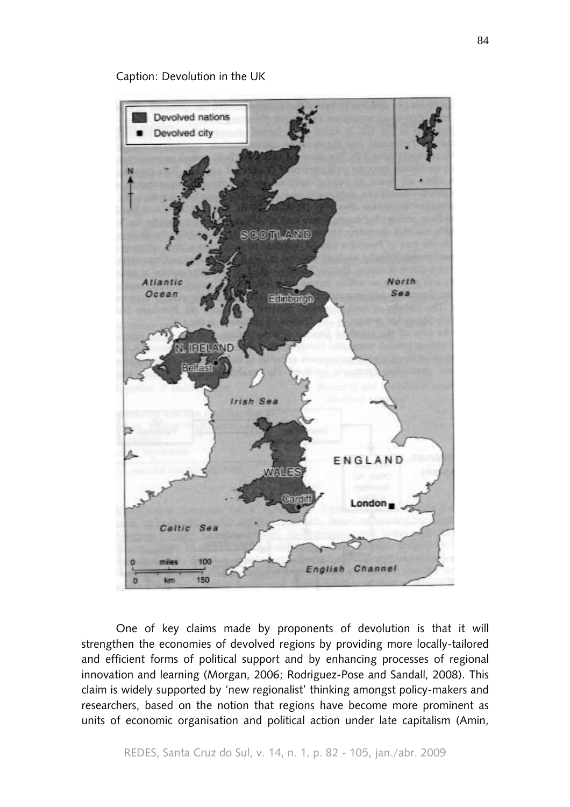#### Caption: Devolution in the UK



One of key claims made by proponents of devolution is that it will strengthen the economies of devolved regions by providing more locally-tailored and efficient forms of political support and by enhancing processes of regional innovation and learning (Morgan, 2006; Rodriguez-Pose and Sandall, 2008). This claim is widely supported by 'new regionalist' thinking amongst policy-makers and researchers, based on the notion that regions have become more prominent as units of economic organisation and political action under late capitalism (Amin,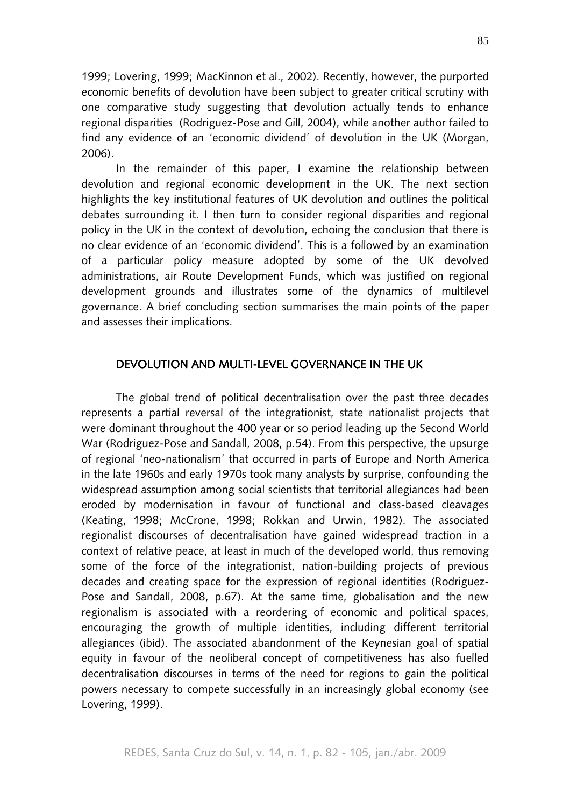1999; Lovering, 1999; MacKinnon et al., 2002). Recently, however, the purported economic benefits of devolution have been subject to greater critical scrutiny with one comparative study suggesting that devolution actually tends to enhance regional disparities (Rodriguez-Pose and Gill, 2004), while another author failed to find any evidence of an 'economic dividend' of devolution in the UK (Morgan, 2006).

In the remainder of this paper, I examine the relationship between devolution and regional economic development in the UK. The next section highlights the key institutional features of UK devolution and outlines the political debates surrounding it. I then turn to consider regional disparities and regional policy in the UK in the context of devolution, echoing the conclusion that there is no clear evidence of an 'economic dividend'. This is a followed by an examination of a particular policy measure adopted by some of the UK devolved administrations, air Route Development Funds, which was justified on regional development grounds and illustrates some of the dynamics of multilevel governance. A brief concluding section summarises the main points of the paper and assesses their implications.

#### DEVOLUTION AND MULTI-LEVEL GOVERNANCE IN THE UK

The global trend of political decentralisation over the past three decades represents a partial reversal of the integrationist, state nationalist projects that were dominant throughout the 400 year or so period leading up the Second World War (Rodriguez-Pose and Sandall, 2008, p.54). From this perspective, the upsurge of regional 'neo-nationalism' that occurred in parts of Europe and North America in the late 1960s and early 1970s took many analysts by surprise, confounding the widespread assumption among social scientists that territorial allegiances had been eroded by modernisation in favour of functional and class-based cleavages (Keating, 1998; McCrone, 1998; Rokkan and Urwin, 1982). The associated regionalist discourses of decentralisation have gained widespread traction in a context of relative peace, at least in much of the developed world, thus removing some of the force of the integrationist, nation-building projects of previous decades and creating space for the expression of regional identities (Rodriguez-Pose and Sandall, 2008, p.67). At the same time, globalisation and the new regionalism is associated with a reordering of economic and political spaces, encouraging the growth of multiple identities, including different territorial allegiances (ibid). The associated abandonment of the Keynesian goal of spatial equity in favour of the neoliberal concept of competitiveness has also fuelled decentralisation discourses in terms of the need for regions to gain the political powers necessary to compete successfully in an increasingly global economy (see Lovering, 1999).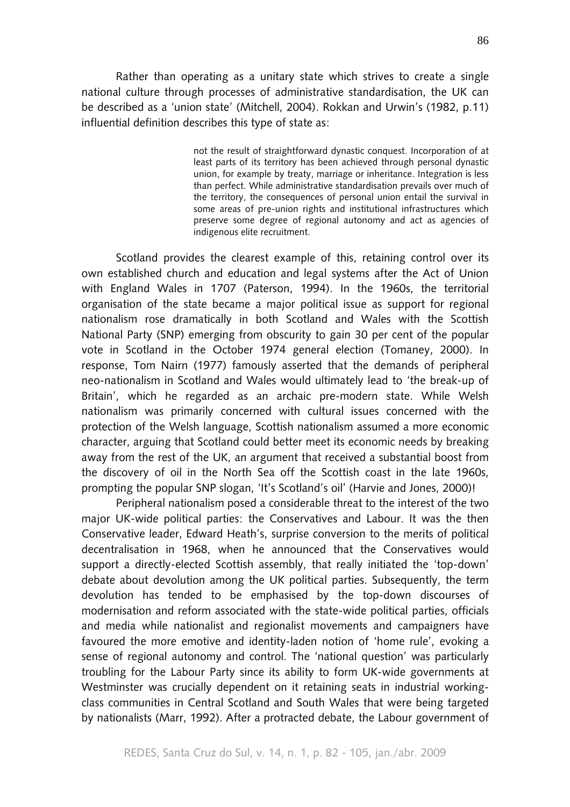Rather than operating as a unitary state which strives to create a single national culture through processes of administrative standardisation, the UK can be described as a 'union state' (Mitchell, 2004). Rokkan and Urwin's (1982, p.11) influential definition describes this type of state as:

> not the result of straightforward dynastic conquest. Incorporation of at least parts of its territory has been achieved through personal dynastic union, for example by treaty, marriage or inheritance. Integration is less than perfect. While administrative standardisation prevails over much of the territory, the consequences of personal union entail the survival in some areas of pre-union rights and institutional infrastructures which preserve some degree of regional autonomy and act as agencies of indigenous elite recruitment.

Scotland provides the clearest example of this, retaining control over its own established church and education and legal systems after the Act of Union with England Wales in 1707 (Paterson, 1994). In the 1960s, the territorial organisation of the state became a major political issue as support for regional nationalism rose dramatically in both Scotland and Wales with the Scottish National Party (SNP) emerging from obscurity to gain 30 per cent of the popular vote in Scotland in the October 1974 general election (Tomaney, 2000). In response, Tom Nairn (1977) famously asserted that the demands of peripheral neo-nationalism in Scotland and Wales would ultimately lead to 'the break-up of Britain', which he regarded as an archaic pre-modern state. While Welsh nationalism was primarily concerned with cultural issues concerned with the protection of the Welsh language, Scottish nationalism assumed a more economic character, arguing that Scotland could better meet its economic needs by breaking away from the rest of the UK, an argument that received a substantial boost from the discovery of oil in the North Sea off the Scottish coast in the late 1960s, prompting the popular SNP slogan, 'It's Scotland's oil' (Harvie and Jones, 2000)!

Peripheral nationalism posed a considerable threat to the interest of the two major UK-wide political parties: the Conservatives and Labour. It was the then Conservative leader, Edward Heath's, surprise conversion to the merits of political decentralisation in 1968, when he announced that the Conservatives would support a directly-elected Scottish assembly, that really initiated the 'top-down' debate about devolution among the UK political parties. Subsequently, the term devolution has tended to be emphasised by the top-down discourses of modernisation and reform associated with the state-wide political parties, officials and media while nationalist and regionalist movements and campaigners have favoured the more emotive and identity-laden notion of 'home rule', evoking a sense of regional autonomy and control. The 'national question' was particularly troubling for the Labour Party since its ability to form UK-wide governments at Westminster was crucially dependent on it retaining seats in industrial workingclass communities in Central Scotland and South Wales that were being targeted by nationalists (Marr, 1992). After a protracted debate, the Labour government of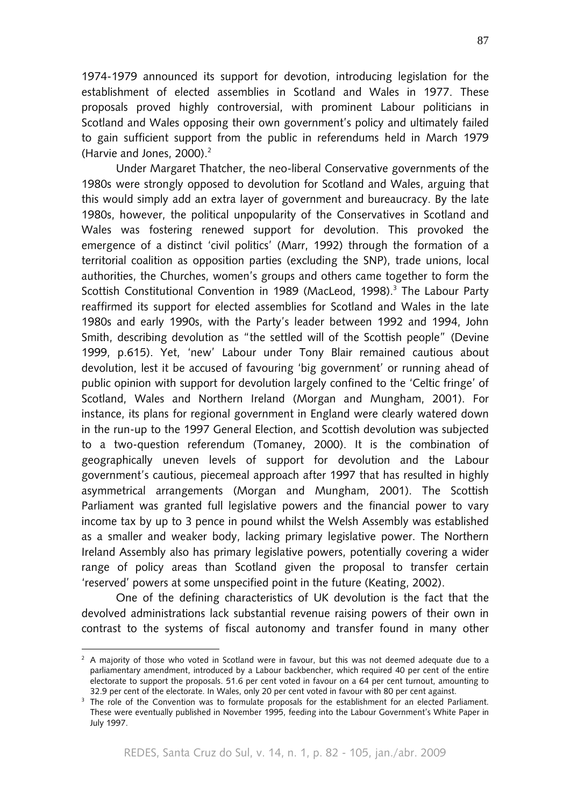1974-1979 announced its support for devotion, introducing legislation for the establishment of elected assemblies in Scotland and Wales in 1977. These proposals proved highly controversial, with prominent Labour politicians in Scotland and Wales opposing their own government's policy and ultimately failed to gain sufficient support from the public in referendums held in March 1979 (Harvie and Jones,  $2000$ ).<sup>2</sup>

Under Margaret Thatcher, the neo-liberal Conservative governments of the 1980s were strongly opposed to devolution for Scotland and Wales, arguing that this would simply add an extra layer of government and bureaucracy. By the late 1980s, however, the political unpopularity of the Conservatives in Scotland and Wales was fostering renewed support for devolution. This provoked the emergence of a distinct 'civil politics' (Marr, 1992) through the formation of a territorial coalition as opposition parties (excluding the SNP), trade unions, local authorities, the Churches, women's groups and others came together to form the Scottish Constitutional Convention in 1989 (MacLeod, 1998).<sup>3</sup> The Labour Party reaffirmed its support for elected assemblies for Scotland and Wales in the late 1980s and early 1990s, with the Party's leader between 1992 and 1994, John Smith, describing devolution as "the settled will of the Scottish people" (Devine 1999, p.615). Yet, 'new' Labour under Tony Blair remained cautious about devolution, lest it be accused of favouring 'big government' or running ahead of public opinion with support for devolution largely confined to the 'Celtic fringe' of Scotland, Wales and Northern Ireland (Morgan and Mungham, 2001). For instance, its plans for regional government in England were clearly watered down in the run-up to the 1997 General Election, and Scottish devolution was subjected to a two-question referendum (Tomaney, 2000). It is the combination of geographically uneven levels of support for devolution and the Labour government's cautious, piecemeal approach after 1997 that has resulted in highly asymmetrical arrangements (Morgan and Mungham, 2001). The Scottish Parliament was granted full legislative powers and the financial power to vary income tax by up to 3 pence in pound whilst the Welsh Assembly was established as a smaller and weaker body, lacking primary legislative power. The Northern Ireland Assembly also has primary legislative powers, potentially covering a wider range of policy areas than Scotland given the proposal to transfer certain 'reserved' powers at some unspecified point in the future (Keating, 2002).

One of the defining characteristics of UK devolution is the fact that the devolved administrations lack substantial revenue raising powers of their own in contrast to the systems of fiscal autonomy and transfer found in many other

 $\overline{a}$ 

 $^2$  A majority of those who voted in Scotland were in favour, but this was not deemed adequate due to a parliamentary amendment, introduced by a Labour backbencher, which required 40 per cent of the entire electorate to support the proposals. 51.6 per cent voted in favour on a 64 per cent turnout, amounting to 32.9 per cent of the electorate. In Wales, only 20 per cent voted in favour with 80 per cent against.

<sup>3</sup> The role of the Convention was to formulate proposals for the establishment for an elected Parliament. These were eventually published in November 1995, feeding into the Labour Government's White Paper in July 1997.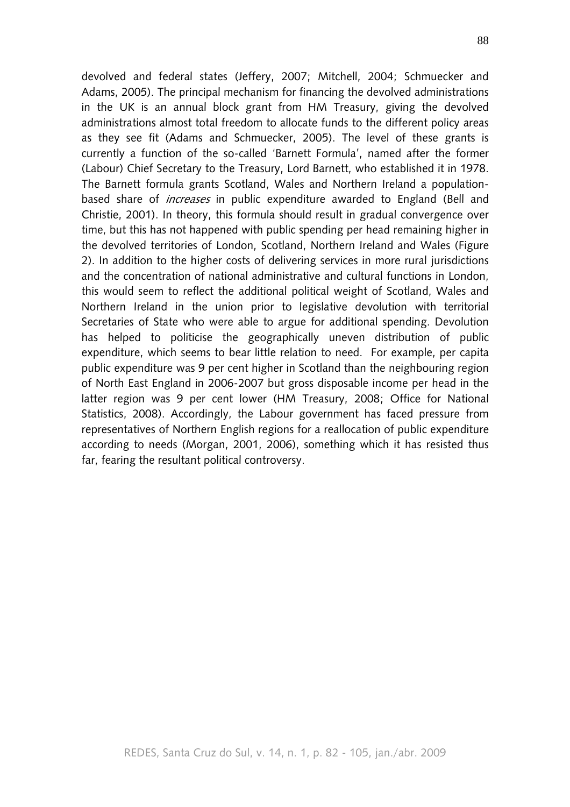devolved and federal states (Jeffery, 2007; Mitchell, 2004; Schmuecker and Adams, 2005). The principal mechanism for financing the devolved administrations in the UK is an annual block grant from HM Treasury, giving the devolved administrations almost total freedom to allocate funds to the different policy areas as they see fit (Adams and Schmuecker, 2005). The level of these grants is currently a function of the so-called 'Barnett Formula', named after the former (Labour) Chief Secretary to the Treasury, Lord Barnett, who established it in 1978. The Barnett formula grants Scotland, Wales and Northern Ireland a populationbased share of *increases* in public expenditure awarded to England (Bell and Christie, 2001). In theory, this formula should result in gradual convergence over time, but this has not happened with public spending per head remaining higher in the devolved territories of London, Scotland, Northern Ireland and Wales (Figure 2). In addition to the higher costs of delivering services in more rural jurisdictions and the concentration of national administrative and cultural functions in London, this would seem to reflect the additional political weight of Scotland, Wales and Northern Ireland in the union prior to legislative devolution with territorial Secretaries of State who were able to argue for additional spending. Devolution has helped to politicise the geographically uneven distribution of public expenditure, which seems to bear little relation to need. For example, per capita public expenditure was 9 per cent higher in Scotland than the neighbouring region of North East England in 2006-2007 but gross disposable income per head in the latter region was 9 per cent lower (HM Treasury, 2008; Office for National Statistics, 2008). Accordingly, the Labour government has faced pressure from representatives of Northern English regions for a reallocation of public expenditure according to needs (Morgan, 2001, 2006), something which it has resisted thus far, fearing the resultant political controversy.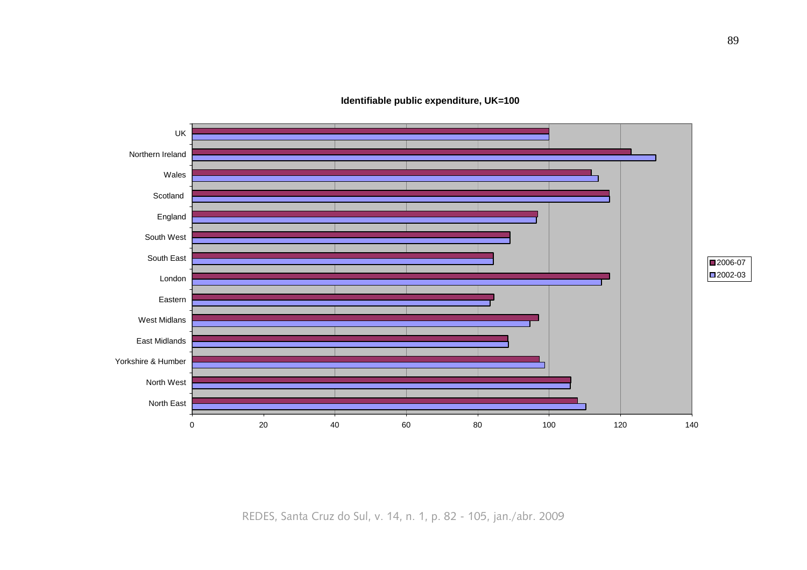**Identifiable public expenditure, UK=100**



REDES, Santa Cruz do Sul, v. 14, n. 1, p. 82 - 105, jan./abr. 2009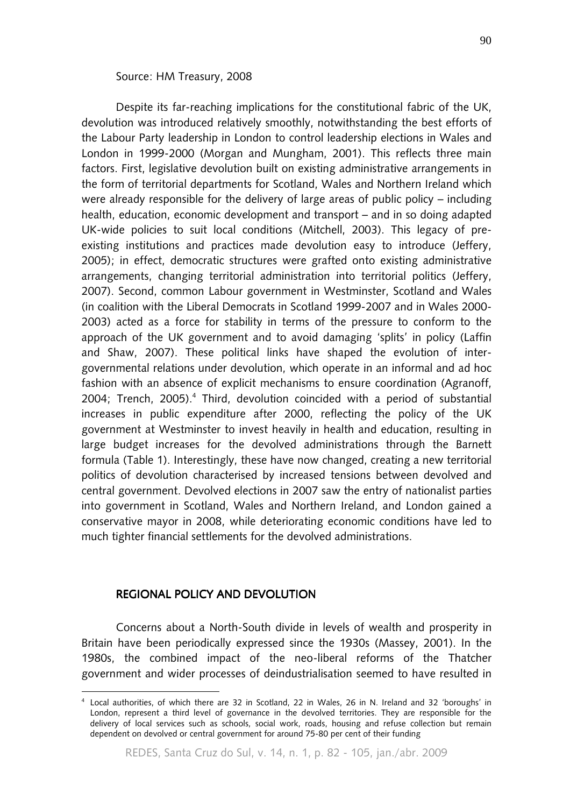#### Source: HM Treasury, 2008

Despite its far-reaching implications for the constitutional fabric of the UK, devolution was introduced relatively smoothly, notwithstanding the best efforts of the Labour Party leadership in London to control leadership elections in Wales and London in 1999-2000 (Morgan and Mungham, 2001). This reflects three main factors. First, legislative devolution built on existing administrative arrangements in the form of territorial departments for Scotland, Wales and Northern Ireland which were already responsible for the delivery of large areas of public policy – including health, education, economic development and transport – and in so doing adapted UK-wide policies to suit local conditions (Mitchell, 2003). This legacy of preexisting institutions and practices made devolution easy to introduce (Jeffery, 2005); in effect, democratic structures were grafted onto existing administrative arrangements, changing territorial administration into territorial politics (Jeffery, 2007). Second, common Labour government in Westminster, Scotland and Wales (in coalition with the Liberal Democrats in Scotland 1999-2007 and in Wales 2000- 2003) acted as a force for stability in terms of the pressure to conform to the approach of the UK government and to avoid damaging 'splits' in policy (Laffin and Shaw, 2007). These political links have shaped the evolution of intergovernmental relations under devolution, which operate in an informal and ad hoc fashion with an absence of explicit mechanisms to ensure coordination (Agranoff, 2004; Trench, 2005).<sup>4</sup> Third, devolution coincided with a period of substantial increases in public expenditure after 2000, reflecting the policy of the UK government at Westminster to invest heavily in health and education, resulting in large budget increases for the devolved administrations through the Barnett formula (Table 1). Interestingly, these have now changed, creating a new territorial politics of devolution characterised by increased tensions between devolved and central government. Devolved elections in 2007 saw the entry of nationalist parties into government in Scotland, Wales and Northern Ireland, and London gained a conservative mayor in 2008, while deteriorating economic conditions have led to much tighter financial settlements for the devolved administrations.

## REGIONAL POLICY AND DEVOLUTION

 $\overline{a}$ 

Concerns about a North-South divide in levels of wealth and prosperity in Britain have been periodically expressed since the 1930s (Massey, 2001). In the 1980s, the combined impact of the neo-liberal reforms of the Thatcher government and wider processes of deindustrialisation seemed to have resulted in

<sup>4</sup> Local authorities, of which there are 32 in Scotland, 22 in Wales, 26 in N. Ireland and 32 'boroughs' in London, represent a third level of governance in the devolved territories. They are responsible for the delivery of local services such as schools, social work, roads, housing and refuse collection but remain dependent on devolved or central government for around 75-80 per cent of their funding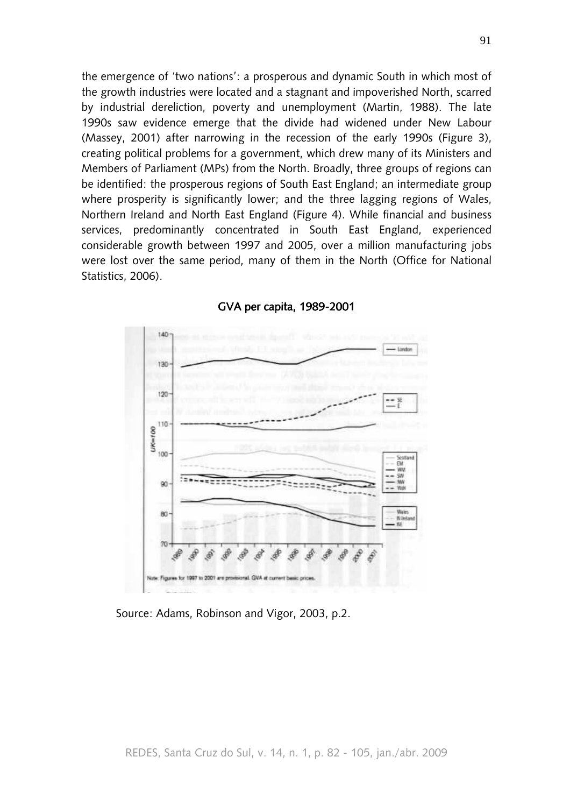the emergence of 'two nations': a prosperous and dynamic South in which most of the growth industries were located and a stagnant and impoverished North, scarred by industrial dereliction, poverty and unemployment (Martin, 1988). The late 1990s saw evidence emerge that the divide had widened under New Labour (Massey, 2001) after narrowing in the recession of the early 1990s (Figure 3), creating political problems for a government, which drew many of its Ministers and Members of Parliament (MPs) from the North. Broadly, three groups of regions can be identified: the prosperous regions of South East England; an intermediate group where prosperity is significantly lower; and the three lagging regions of Wales, Northern Ireland and North East England (Figure 4). While financial and business services, predominantly concentrated in South East England, experienced considerable growth between 1997 and 2005, over a million manufacturing jobs were lost over the same period, many of them in the North (Office for National Statistics, 2006).



GVA per capita, 1989-2001

Source: Adams, Robinson and Vigor, 2003, p.2.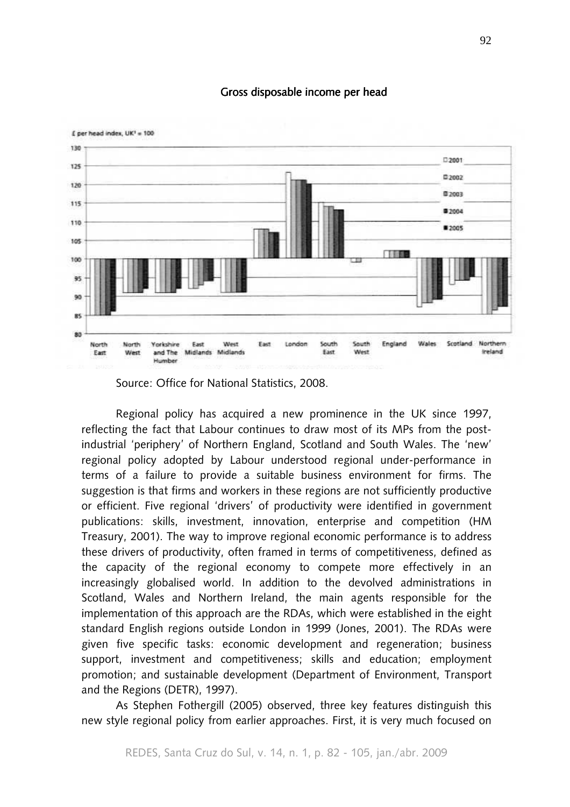

# Gross disposable income per head

Source: Office for National Statistics, 2008.

Regional policy has acquired a new prominence in the UK since 1997, reflecting the fact that Labour continues to draw most of its MPs from the postindustrial 'periphery' of Northern England, Scotland and South Wales. The 'new' regional policy adopted by Labour understood regional under-performance in terms of a failure to provide a suitable business environment for firms. The suggestion is that firms and workers in these regions are not sufficiently productive or efficient. Five regional 'drivers' of productivity were identified in government publications: skills, investment, innovation, enterprise and competition (HM Treasury, 2001). The way to improve regional economic performance is to address these drivers of productivity, often framed in terms of competitiveness, defined as the capacity of the regional economy to compete more effectively in an increasingly globalised world. In addition to the devolved administrations in Scotland, Wales and Northern Ireland, the main agents responsible for the implementation of this approach are the RDAs, which were established in the eight standard English regions outside London in 1999 (Jones, 2001). The RDAs were given five specific tasks: economic development and regeneration; business support, investment and competitiveness; skills and education; employment promotion; and sustainable development (Department of Environment, Transport and the Regions (DETR), 1997).

As Stephen Fothergill (2005) observed, three key features distinguish this new style regional policy from earlier approaches. First, it is very much focused on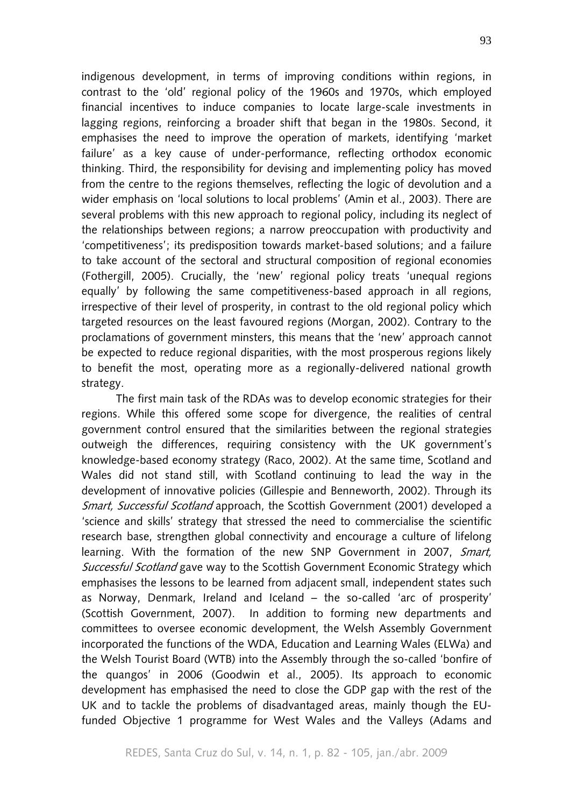indigenous development, in terms of improving conditions within regions, in contrast to the 'old' regional policy of the 1960s and 1970s, which employed financial incentives to induce companies to locate large-scale investments in lagging regions, reinforcing a broader shift that began in the 1980s. Second, it emphasises the need to improve the operation of markets, identifying 'market failure' as a key cause of under-performance, reflecting orthodox economic thinking. Third, the responsibility for devising and implementing policy has moved from the centre to the regions themselves, reflecting the logic of devolution and a wider emphasis on 'local solutions to local problems' (Amin et al., 2003). There are several problems with this new approach to regional policy, including its neglect of the relationships between regions; a narrow preoccupation with productivity and 'competitiveness'; its predisposition towards market-based solutions; and a failure to take account of the sectoral and structural composition of regional economies (Fothergill, 2005). Crucially, the 'new' regional policy treats 'unequal regions equally' by following the same competitiveness-based approach in all regions, irrespective of their level of prosperity, in contrast to the old regional policy which targeted resources on the least favoured regions (Morgan, 2002). Contrary to the proclamations of government minsters, this means that the 'new' approach cannot be expected to reduce regional disparities, with the most prosperous regions likely to benefit the most, operating more as a regionally-delivered national growth strategy.

The first main task of the RDAs was to develop economic strategies for their regions. While this offered some scope for divergence, the realities of central government control ensured that the similarities between the regional strategies outweigh the differences, requiring consistency with the UK government's knowledge-based economy strategy (Raco, 2002). At the same time, Scotland and Wales did not stand still, with Scotland continuing to lead the way in the development of innovative policies (Gillespie and Benneworth, 2002). Through its Smart, Successful Scotland approach, the Scottish Government (2001) developed a 'science and skills' strategy that stressed the need to commercialise the scientific research base, strengthen global connectivity and encourage a culture of lifelong learning. With the formation of the new SNP Government in 2007, Smart, Successful Scotland gave way to the Scottish Government Economic Strategy which emphasises the lessons to be learned from adjacent small, independent states such as Norway, Denmark, Ireland and Iceland – the so-called 'arc of prosperity' (Scottish Government, 2007). In addition to forming new departments and committees to oversee economic development, the Welsh Assembly Government incorporated the functions of the WDA, Education and Learning Wales (ELWa) and the Welsh Tourist Board (WTB) into the Assembly through the so-called 'bonfire of the quangos' in 2006 (Goodwin et al., 2005). Its approach to economic development has emphasised the need to close the GDP gap with the rest of the UK and to tackle the problems of disadvantaged areas, mainly though the EUfunded Objective 1 programme for West Wales and the Valleys (Adams and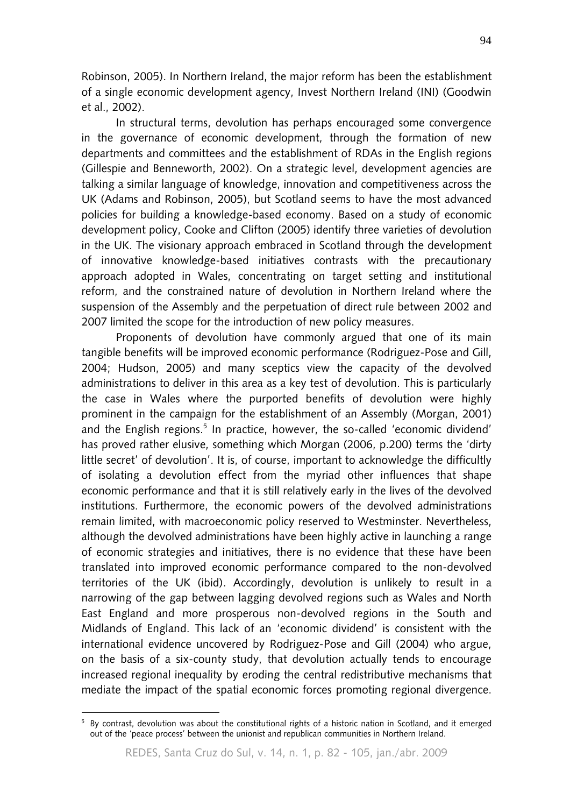Robinson, 2005). In Northern Ireland, the major reform has been the establishment of a single economic development agency, Invest Northern Ireland (INI) (Goodwin et al., 2002).

In structural terms, devolution has perhaps encouraged some convergence in the governance of economic development, through the formation of new departments and committees and the establishment of RDAs in the English regions (Gillespie and Benneworth, 2002). On a strategic level, development agencies are talking a similar language of knowledge, innovation and competitiveness across the UK (Adams and Robinson, 2005), but Scotland seems to have the most advanced policies for building a knowledge-based economy. Based on a study of economic development policy, Cooke and Clifton (2005) identify three varieties of devolution in the UK. The visionary approach embraced in Scotland through the development of innovative knowledge-based initiatives contrasts with the precautionary approach adopted in Wales, concentrating on target setting and institutional reform, and the constrained nature of devolution in Northern Ireland where the suspension of the Assembly and the perpetuation of direct rule between 2002 and 2007 limited the scope for the introduction of new policy measures.

Proponents of devolution have commonly argued that one of its main tangible benefits will be improved economic performance (Rodriguez-Pose and Gill, 2004; Hudson, 2005) and many sceptics view the capacity of the devolved administrations to deliver in this area as a key test of devolution. This is particularly the case in Wales where the purported benefits of devolution were highly prominent in the campaign for the establishment of an Assembly (Morgan, 2001) and the English regions.<sup>5</sup> In practice, however, the so-called 'economic dividend' has proved rather elusive, something which Morgan (2006, p.200) terms the 'dirty little secret' of devolution'. It is, of course, important to acknowledge the difficultly of isolating a devolution effect from the myriad other influences that shape economic performance and that it is still relatively early in the lives of the devolved institutions. Furthermore, the economic powers of the devolved administrations remain limited, with macroeconomic policy reserved to Westminster. Nevertheless, although the devolved administrations have been highly active in launching a range of economic strategies and initiatives, there is no evidence that these have been translated into improved economic performance compared to the non-devolved territories of the UK (ibid). Accordingly, devolution is unlikely to result in a narrowing of the gap between lagging devolved regions such as Wales and North East England and more prosperous non-devolved regions in the South and Midlands of England. This lack of an 'economic dividend' is consistent with the international evidence uncovered by Rodriguez-Pose and Gill (2004) who argue, on the basis of a six-county study, that devolution actually tends to encourage increased regional inequality by eroding the central redistributive mechanisms that mediate the impact of the spatial economic forces promoting regional divergence.

 $\overline{a}$ 

<sup>5</sup> By contrast, devolution was about the constitutional rights of a historic nation in Scotland, and it emerged out of the 'peace process' between the unionist and republican communities in Northern Ireland.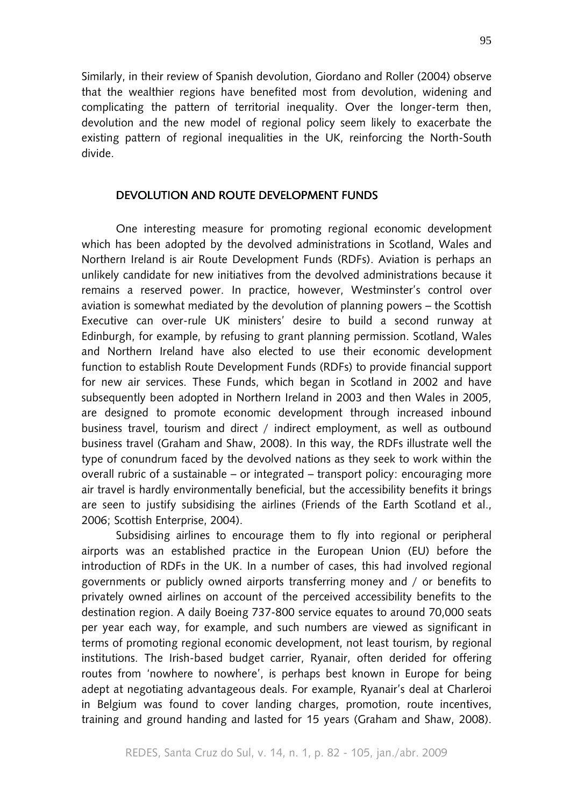Similarly, in their review of Spanish devolution, Giordano and Roller (2004) observe that the wealthier regions have benefited most from devolution, widening and complicating the pattern of territorial inequality. Over the longer-term then, devolution and the new model of regional policy seem likely to exacerbate the existing pattern of regional inequalities in the UK, reinforcing the North-South divide.

#### DEVOLUTION AND ROUTE DEVELOPMENT FUNDS

One interesting measure for promoting regional economic development which has been adopted by the devolved administrations in Scotland, Wales and Northern Ireland is air Route Development Funds (RDFs). Aviation is perhaps an unlikely candidate for new initiatives from the devolved administrations because it remains a reserved power. In practice, however, Westminster's control over aviation is somewhat mediated by the devolution of planning powers – the Scottish Executive can over-rule UK ministers' desire to build a second runway at Edinburgh, for example, by refusing to grant planning permission. Scotland, Wales and Northern Ireland have also elected to use their economic development function to establish Route Development Funds (RDFs) to provide financial support for new air services. These Funds, which began in Scotland in 2002 and have subsequently been adopted in Northern Ireland in 2003 and then Wales in 2005, are designed to promote economic development through increased inbound business travel, tourism and direct / indirect employment, as well as outbound business travel (Graham and Shaw, 2008). In this way, the RDFs illustrate well the type of conundrum faced by the devolved nations as they seek to work within the overall rubric of a sustainable – or integrated – transport policy: encouraging more air travel is hardly environmentally beneficial, but the accessibility benefits it brings are seen to justify subsidising the airlines (Friends of the Earth Scotland et al., 2006; Scottish Enterprise, 2004).

Subsidising airlines to encourage them to fly into regional or peripheral airports was an established practice in the European Union (EU) before the introduction of RDFs in the UK. In a number of cases, this had involved regional governments or publicly owned airports transferring money and / or benefits to privately owned airlines on account of the perceived accessibility benefits to the destination region. A daily Boeing 737-800 service equates to around 70,000 seats per year each way, for example, and such numbers are viewed as significant in terms of promoting regional economic development, not least tourism, by regional institutions. The Irish-based budget carrier, Ryanair, often derided for offering routes from 'nowhere to nowhere', is perhaps best known in Europe for being adept at negotiating advantageous deals. For example, Ryanair's deal at Charleroi in Belgium was found to cover landing charges, promotion, route incentives, training and ground handing and lasted for 15 years (Graham and Shaw, 2008).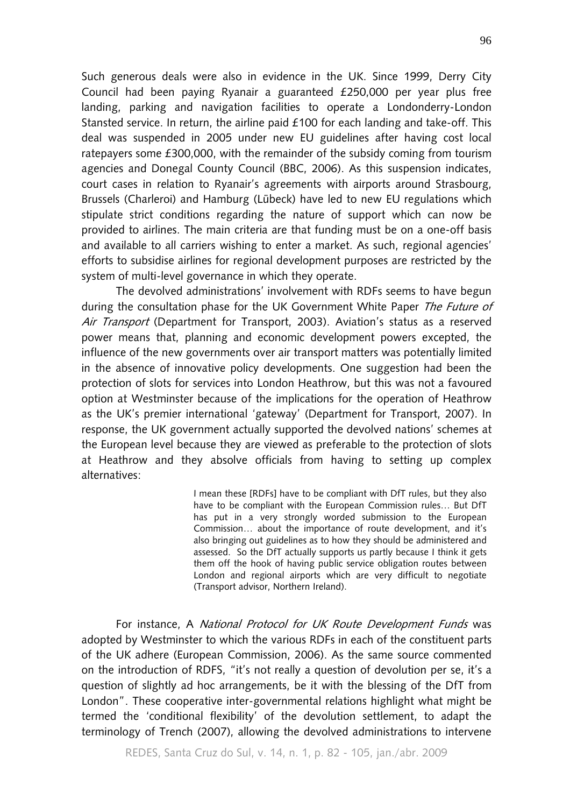Such generous deals were also in evidence in the UK. Since 1999, Derry City Council had been paying Ryanair a guaranteed £250,000 per year plus free landing, parking and navigation facilities to operate a Londonderry-London Stansted service. In return, the airline paid £100 for each landing and take-off. This deal was suspended in 2005 under new EU guidelines after having cost local ratepayers some £300,000, with the remainder of the subsidy coming from tourism agencies and Donegal County Council (BBC, 2006). As this suspension indicates, court cases in relation to Ryanair's agreements with airports around Strasbourg, Brussels (Charleroi) and Hamburg (Lübeck) have led to new EU regulations which stipulate strict conditions regarding the nature of support which can now be provided to airlines. The main criteria are that funding must be on a one-off basis and available to all carriers wishing to enter a market. As such, regional agencies' efforts to subsidise airlines for regional development purposes are restricted by the system of multi-level governance in which they operate.

The devolved administrations' involvement with RDFs seems to have begun during the consultation phase for the UK Government White Paper The Future of Air Transport (Department for Transport, 2003). Aviation's status as a reserved power means that, planning and economic development powers excepted, the influence of the new governments over air transport matters was potentially limited in the absence of innovative policy developments. One suggestion had been the protection of slots for services into London Heathrow, but this was not a favoured option at Westminster because of the implications for the operation of Heathrow as the UK's premier international 'gateway' (Department for Transport, 2007). In response, the UK government actually supported the devolved nations' schemes at the European level because they are viewed as preferable to the protection of slots at Heathrow and they absolve officials from having to setting up complex alternatives:

> I mean these [RDFs] have to be compliant with DfT rules, but they also have to be compliant with the European Commission rules… But DfT has put in a very strongly worded submission to the European Commission… about the importance of route development, and it's also bringing out guidelines as to how they should be administered and assessed. So the DfT actually supports us partly because I think it gets them off the hook of having public service obligation routes between London and regional airports which are very difficult to negotiate (Transport advisor, Northern Ireland).

For instance, A National Protocol for UK Route Development Funds was adopted by Westminster to which the various RDFs in each of the constituent parts of the UK adhere (European Commission, 2006). As the same source commented on the introduction of RDFS, "it's not really a question of devolution per se, it's a question of slightly ad hoc arrangements, be it with the blessing of the DfT from London". These cooperative inter-governmental relations highlight what might be termed the 'conditional flexibility' of the devolution settlement, to adapt the terminology of Trench (2007), allowing the devolved administrations to intervene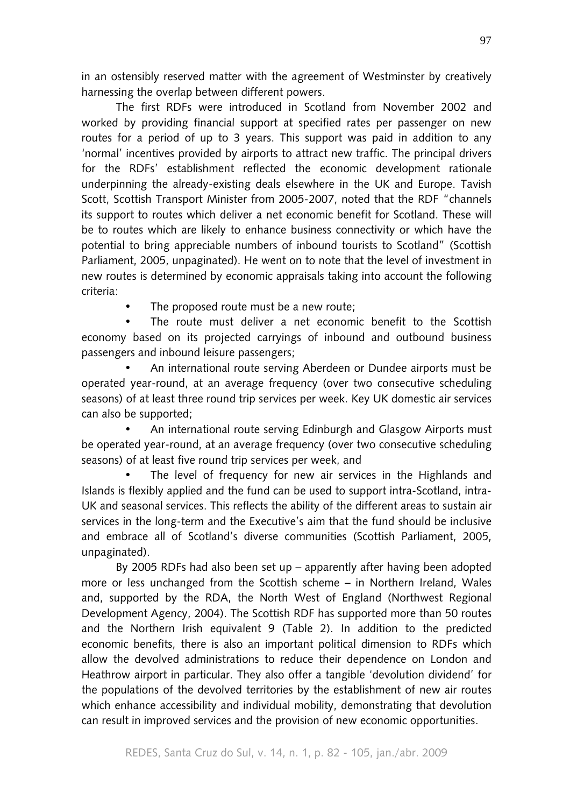in an ostensibly reserved matter with the agreement of Westminster by creatively harnessing the overlap between different powers.

The first RDFs were introduced in Scotland from November 2002 and worked by providing financial support at specified rates per passenger on new routes for a period of up to 3 years. This support was paid in addition to any 'normal' incentives provided by airports to attract new traffic. The principal drivers for the RDFs' establishment reflected the economic development rationale underpinning the already-existing deals elsewhere in the UK and Europe. Tavish Scott, Scottish Transport Minister from 2005-2007, noted that the RDF "channels its support to routes which deliver a net economic benefit for Scotland. These will be to routes which are likely to enhance business connectivity or which have the potential to bring appreciable numbers of inbound tourists to Scotland" (Scottish Parliament, 2005, unpaginated). He went on to note that the level of investment in new routes is determined by economic appraisals taking into account the following criteria:

• The proposed route must be a new route;

The route must deliver a net economic benefit to the Scottish economy based on its projected carryings of inbound and outbound business passengers and inbound leisure passengers;

• An international route serving Aberdeen or Dundee airports must be operated year-round, at an average frequency (over two consecutive scheduling seasons) of at least three round trip services per week. Key UK domestic air services can also be supported;

• An international route serving Edinburgh and Glasgow Airports must be operated year-round, at an average frequency (over two consecutive scheduling seasons) of at least five round trip services per week, and

The level of frequency for new air services in the Highlands and Islands is flexibly applied and the fund can be used to support intra-Scotland, intra-UK and seasonal services. This reflects the ability of the different areas to sustain air services in the long-term and the Executive's aim that the fund should be inclusive and embrace all of Scotland's diverse communities (Scottish Parliament, 2005, unpaginated).

By 2005 RDFs had also been set up – apparently after having been adopted more or less unchanged from the Scottish scheme – in Northern Ireland, Wales and, supported by the RDA, the North West of England (Northwest Regional Development Agency, 2004). The Scottish RDF has supported more than 50 routes and the Northern Irish equivalent 9 (Table 2). In addition to the predicted economic benefits, there is also an important political dimension to RDFs which allow the devolved administrations to reduce their dependence on London and Heathrow airport in particular. They also offer a tangible 'devolution dividend' for the populations of the devolved territories by the establishment of new air routes which enhance accessibility and individual mobility, demonstrating that devolution can result in improved services and the provision of new economic opportunities.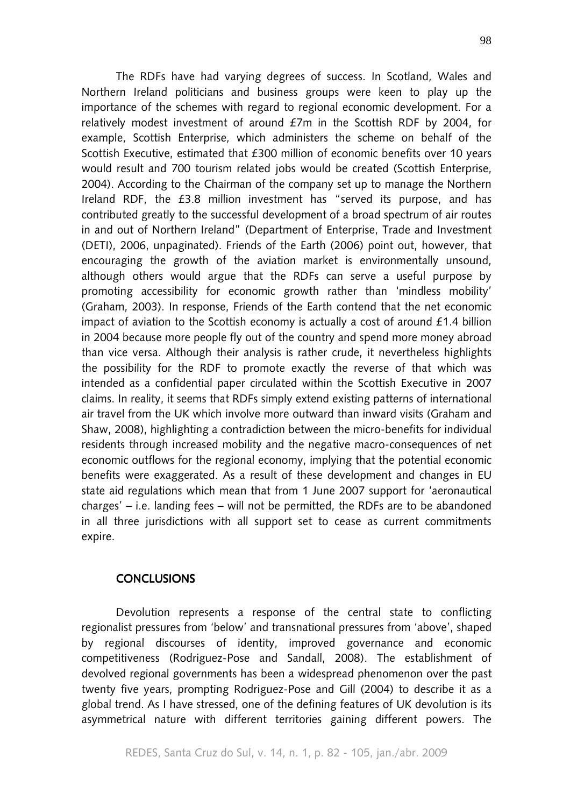The RDFs have had varying degrees of success. In Scotland, Wales and Northern Ireland politicians and business groups were keen to play up the importance of the schemes with regard to regional economic development. For a relatively modest investment of around £7m in the Scottish RDF by 2004, for example, Scottish Enterprise, which administers the scheme on behalf of the Scottish Executive, estimated that £300 million of economic benefits over 10 years would result and 700 tourism related jobs would be created (Scottish Enterprise, 2004). According to the Chairman of the company set up to manage the Northern Ireland RDF, the £3.8 million investment has "served its purpose, and has contributed greatly to the successful development of a broad spectrum of air routes in and out of Northern Ireland" (Department of Enterprise, Trade and Investment (DETI), 2006, unpaginated). Friends of the Earth (2006) point out, however, that encouraging the growth of the aviation market is environmentally unsound, although others would argue that the RDFs can serve a useful purpose by promoting accessibility for economic growth rather than 'mindless mobility' (Graham, 2003). In response, Friends of the Earth contend that the net economic impact of aviation to the Scottish economy is actually a cost of around £1.4 billion in 2004 because more people fly out of the country and spend more money abroad than vice versa. Although their analysis is rather crude, it nevertheless highlights the possibility for the RDF to promote exactly the reverse of that which was intended as a confidential paper circulated within the Scottish Executive in 2007 claims. In reality, it seems that RDFs simply extend existing patterns of international air travel from the UK which involve more outward than inward visits (Graham and Shaw, 2008), highlighting a contradiction between the micro-benefits for individual residents through increased mobility and the negative macro-consequences of net economic outflows for the regional economy, implying that the potential economic benefits were exaggerated. As a result of these development and changes in EU state aid regulations which mean that from 1 June 2007 support for 'aeronautical charges' – i.e. landing fees – will not be permitted, the RDFs are to be abandoned in all three jurisdictions with all support set to cease as current commitments expire.

## **CONCLUSIONS**

Devolution represents a response of the central state to conflicting regionalist pressures from 'below' and transnational pressures from 'above', shaped by regional discourses of identity, improved governance and economic competitiveness (Rodriguez-Pose and Sandall, 2008). The establishment of devolved regional governments has been a widespread phenomenon over the past twenty five years, prompting Rodriguez-Pose and Gill (2004) to describe it as a global trend. As I have stressed, one of the defining features of UK devolution is its asymmetrical nature with different territories gaining different powers. The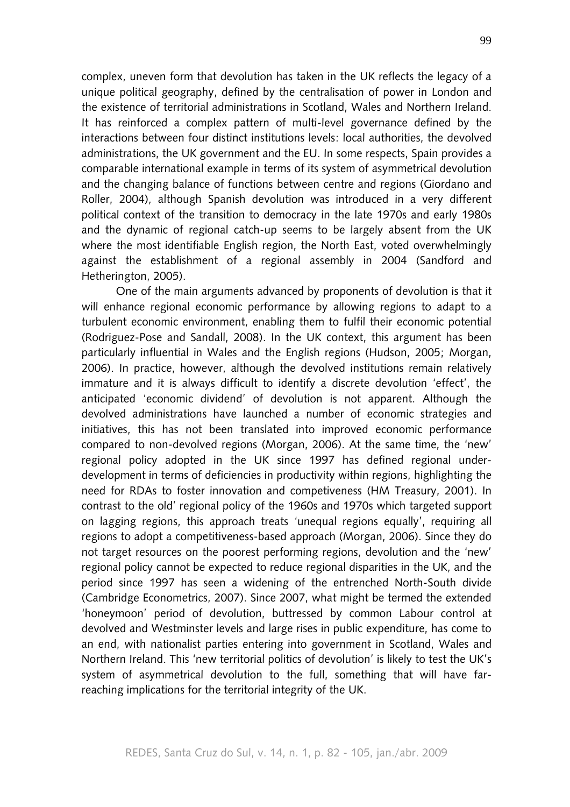complex, uneven form that devolution has taken in the UK reflects the legacy of a unique political geography, defined by the centralisation of power in London and the existence of territorial administrations in Scotland, Wales and Northern Ireland. It has reinforced a complex pattern of multi-level governance defined by the interactions between four distinct institutions levels: local authorities, the devolved administrations, the UK government and the EU. In some respects, Spain provides a comparable international example in terms of its system of asymmetrical devolution and the changing balance of functions between centre and regions (Giordano and Roller, 2004), although Spanish devolution was introduced in a very different political context of the transition to democracy in the late 1970s and early 1980s and the dynamic of regional catch-up seems to be largely absent from the UK where the most identifiable English region, the North East, voted overwhelmingly against the establishment of a regional assembly in 2004 (Sandford and Hetherington, 2005).

One of the main arguments advanced by proponents of devolution is that it will enhance regional economic performance by allowing regions to adapt to a turbulent economic environment, enabling them to fulfil their economic potential (Rodriguez-Pose and Sandall, 2008). In the UK context, this argument has been particularly influential in Wales and the English regions (Hudson, 2005; Morgan, 2006). In practice, however, although the devolved institutions remain relatively immature and it is always difficult to identify a discrete devolution 'effect', the anticipated 'economic dividend' of devolution is not apparent. Although the devolved administrations have launched a number of economic strategies and initiatives, this has not been translated into improved economic performance compared to non-devolved regions (Morgan, 2006). At the same time, the 'new' regional policy adopted in the UK since 1997 has defined regional underdevelopment in terms of deficiencies in productivity within regions, highlighting the need for RDAs to foster innovation and competiveness (HM Treasury, 2001). In contrast to the old' regional policy of the 1960s and 1970s which targeted support on lagging regions, this approach treats 'unequal regions equally', requiring all regions to adopt a competitiveness-based approach (Morgan, 2006). Since they do not target resources on the poorest performing regions, devolution and the 'new' regional policy cannot be expected to reduce regional disparities in the UK, and the period since 1997 has seen a widening of the entrenched North-South divide (Cambridge Econometrics, 2007). Since 2007, what might be termed the extended 'honeymoon' period of devolution, buttressed by common Labour control at devolved and Westminster levels and large rises in public expenditure, has come to an end, with nationalist parties entering into government in Scotland, Wales and Northern Ireland. This 'new territorial politics of devolution' is likely to test the UK's system of asymmetrical devolution to the full, something that will have farreaching implications for the territorial integrity of the UK.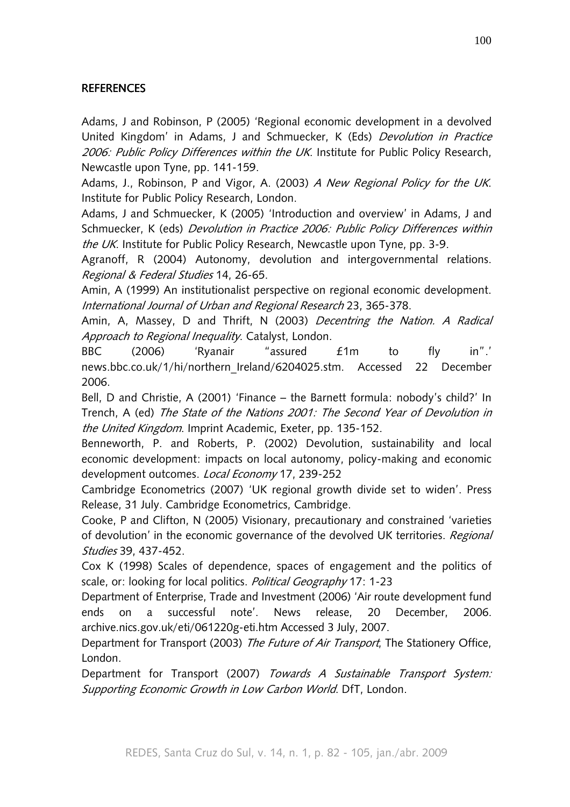# **REFERENCES**

Adams, J and Robinson, P (2005) 'Regional economic development in a devolved United Kingdom' in Adams, J and Schmuecker, K (Eds) Devolution in Practice 2006: Public Policy Differences within the UK. Institute for Public Policy Research, Newcastle upon Tyne, pp. 141-159.

Adams, J., Robinson, P and Vigor, A. (2003) A New Regional Policy for the UK. Institute for Public Policy Research, London.

Adams, J and Schmuecker, K (2005) 'Introduction and overview' in Adams, J and Schmuecker, K (eds) Devolution in Practice 2006: Public Policy Differences within the UK. Institute for Public Policy Research, Newcastle upon Tyne, pp. 3-9.

Agranoff, R (2004) Autonomy, devolution and intergovernmental relations. Regional & Federal Studies 14, 26-65.

Amin, A (1999) An institutionalist perspective on regional economic development. International Journal of Urban and Regional Research 23, 365-378.

Amin, A, Massey, D and Thrift, N (2003) Decentring the Nation. A Radical Approach to Regional Inequality. Catalyst, London.

BBC (2006) 'Ryanair "assured £1m to fly in".' news.bbc.co.uk/1/hi/northern\_Ireland/6204025.stm. Accessed 22 December 2006.

Bell, D and Christie, A (2001) 'Finance – the Barnett formula: nobody's child?' In Trench, A (ed) The State of the Nations 2001: The Second Year of Devolution in the United Kingdom. Imprint Academic, Exeter, pp. 135-152.

Benneworth, P. and Roberts, P. (2002) Devolution, sustainability and local economic development: impacts on local autonomy, policy-making and economic development outcomes. Local Economy 17, 239-252

Cambridge Econometrics (2007) 'UK regional growth divide set to widen'. Press Release, 31 July. Cambridge Econometrics, Cambridge.

Cooke, P and Clifton, N (2005) Visionary, precautionary and constrained 'varieties of devolution' in the economic governance of the devolved UK territories. Regional Studies 39, 437-452.

Cox K (1998) Scales of dependence, spaces of engagement and the politics of scale, or: looking for local politics. Political Geography 17: 1-23

Department of Enterprise, Trade and Investment (2006) 'Air route development fund ends on a successful note'. News release, 20 December, 2006. archive.nics.gov.uk/eti/061220g-eti.htm Accessed 3 July, 2007.

Department for Transport (2003) The Future of Air Transport, The Stationery Office, London.

Department for Transport (2007) Towards A Sustainable Transport System: Supporting Economic Growth in Low Carbon World. DfT, London.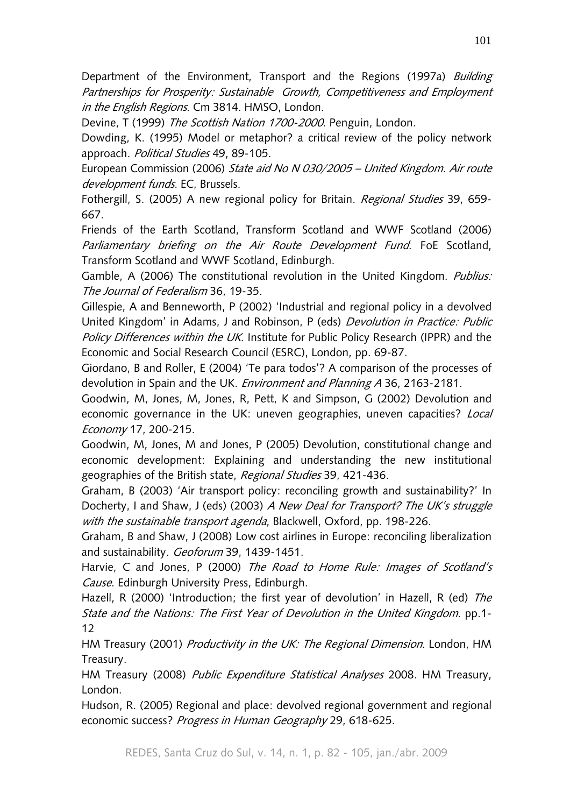Department of the Environment, Transport and the Regions (1997a) Building Partnerships for Prosperity: Sustainable Growth, Competitiveness and Employment in the English Regions. Cm 3814. HMSO, London.

Devine, T (1999) The Scottish Nation 1700-2000. Penguin, London.

Dowding, K. (1995) Model or metaphor? a critical review of the policy network approach. Political Studies 49, 89-105.

European Commission (2006) State aid No N 030/2005 – United Kingdom. Air route development funds. EC, Brussels.

Fothergill, S. (2005) A new regional policy for Britain. Regional Studies 39, 659-667.

Friends of the Earth Scotland, Transform Scotland and WWF Scotland (2006) Parliamentary briefing on the Air Route Development Fund. FoE Scotland, Transform Scotland and WWF Scotland, Edinburgh.

Gamble, A (2006) The constitutional revolution in the United Kingdom. *Publius:* The Journal of Federalism 36, 19-35.

Gillespie, A and Benneworth, P (2002) 'Industrial and regional policy in a devolved United Kingdom' in Adams, J and Robinson, P (eds) Devolution in Practice: Public Policy Differences within the UK. Institute for Public Policy Research (IPPR) and the Economic and Social Research Council (ESRC), London, pp. 69-87.

Giordano, B and Roller, E (2004) 'Te para todos'? A comparison of the processes of devolution in Spain and the UK. Environment and Planning A 36, 2163-2181.

Goodwin, M, Jones, M, Jones, R, Pett, K and Simpson, G (2002) Devolution and economic governance in the UK: uneven geographies, uneven capacities? Local Economy 17, 200-215.

Goodwin, M, Jones, M and Jones, P (2005) Devolution, constitutional change and economic development: Explaining and understanding the new institutional geographies of the British state, Regional Studies 39, 421-436.

Graham, B (2003) 'Air transport policy: reconciling growth and sustainability?' In Docherty, I and Shaw, J (eds) (2003) A New Deal for Transport? The UK's struggle with the sustainable transport agenda, Blackwell, Oxford, pp. 198-226.

Graham, B and Shaw, J (2008) Low cost airlines in Europe: reconciling liberalization and sustainability. Geoforum 39, 1439-1451.

Harvie, C and Jones, P (2000) The Road to Home Rule: Images of Scotland's Cause. Edinburgh University Press, Edinburgh.

Hazell, R (2000) 'Introduction; the first year of devolution' in Hazell, R (ed) The State and the Nations: The First Year of Devolution in the United Kingdom. pp.1- 12

HM Treasury (2001) Productivity in the UK: The Regional Dimension. London, HM Treasury.

HM Treasury (2008) Public Expenditure Statistical Analyses 2008. HM Treasury, London.

Hudson, R. (2005) Regional and place: devolved regional government and regional economic success? Progress in Human Geography 29, 618-625.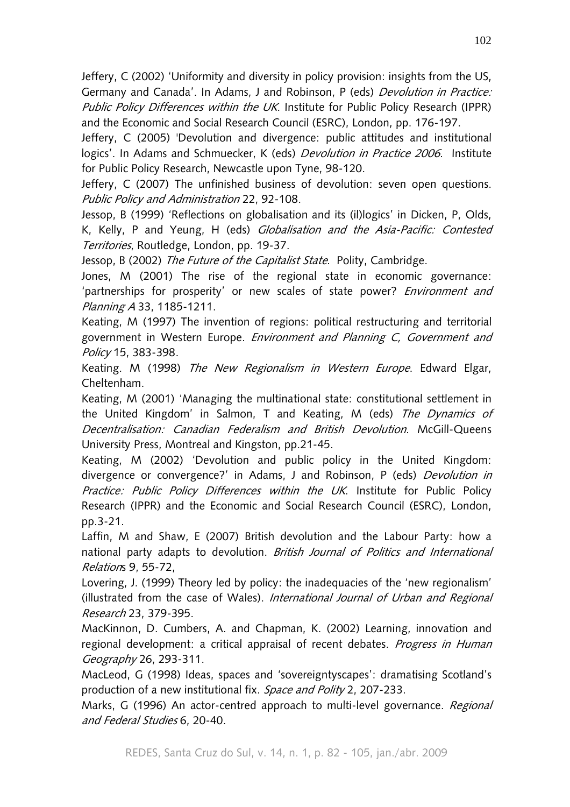Jeffery, C (2002) 'Uniformity and diversity in policy provision: insights from the US, Germany and Canada'. In Adams, J and Robinson, P (eds) Devolution in Practice: Public Policy Differences within the UK. Institute for Public Policy Research (IPPR) and the Economic and Social Research Council (ESRC), London, pp. 176-197.

Jeffery, C (2005) 'Devolution and divergence: public attitudes and institutional logics'. In Adams and Schmuecker, K (eds) Devolution in Practice 2006. Institute for Public Policy Research, Newcastle upon Tyne, 98-120.

Jeffery, C (2007) The unfinished business of devolution: seven open questions. Public Policy and Administration 22, 92-108.

Jessop, B (1999) 'Reflections on globalisation and its (il)logics' in Dicken, P, Olds, K, Kelly, P and Yeung, H (eds) *Globalisation and the Asia-Pacific: Contested* Territories, Routledge, London, pp. 19-37.

Jessop, B (2002) The Future of the Capitalist State. Polity, Cambridge.

Jones, M (2001) The rise of the regional state in economic governance: 'partnerships for prosperity' or new scales of state power? Environment and Planning A 33, 1185-1211.

Keating, M (1997) The invention of regions: political restructuring and territorial government in Western Europe. Environment and Planning C, Government and Policy 15, 383-398.

Keating. M (1998) The New Regionalism in Western Europe. Edward Elgar, Cheltenham.

Keating, M (2001) 'Managing the multinational state: constitutional settlement in the United Kingdom' in Salmon, T and Keating, M (eds) The Dynamics of Decentralisation: Canadian Federalism and British Devolution. McGill-Queens University Press, Montreal and Kingston, pp.21-45.

Keating, M (2002) 'Devolution and public policy in the United Kingdom: divergence or convergence?' in Adams, J and Robinson, P (eds) Devolution in Practice: Public Policy Differences within the UK. Institute for Public Policy Research (IPPR) and the Economic and Social Research Council (ESRC), London, pp.3-21.

Laffin, M and Shaw, E (2007) British devolution and the Labour Party: how a national party adapts to devolution. British Journal of Politics and International Relations 9, 55-72,

Lovering, J. (1999) Theory led by policy: the inadequacies of the 'new regionalism' (illustrated from the case of Wales). International Journal of Urban and Regional Research 23, 379-395.

MacKinnon, D. Cumbers, A. and Chapman, K. (2002) Learning, innovation and regional development: a critical appraisal of recent debates. Progress in Human Geography 26, 293-311.

MacLeod, G (1998) Ideas, spaces and 'sovereigntyscapes': dramatising Scotland's production of a new institutional fix. Space and Polity 2, 207-233.

Marks, G (1996) An actor-centred approach to multi-level governance. Regional and Federal Studies 6, 20-40.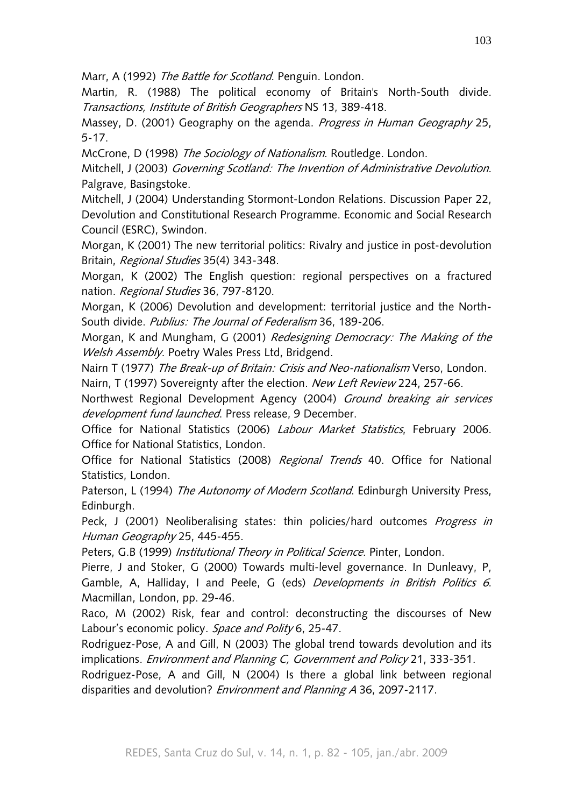Marr, A (1992) The Battle for Scotland. Penguin. London.

Martin, R. (1988) The political economy of Britain's North-South divide. Transactions, Institute of British Geographers NS 13, 389-418.

Massey, D. (2001) Geography on the agenda. Progress in Human Geography 25, 5-17.

McCrone, D (1998) The Sociology of Nationalism. Routledge. London.

Mitchell, J (2003) Governing Scotland: The Invention of Administrative Devolution. Palgrave, Basingstoke.

Mitchell, J (2004) Understanding Stormont-London Relations. Discussion Paper 22, Devolution and Constitutional Research Programme. Economic and Social Research Council (ESRC), Swindon.

Morgan, K (2001) The new territorial politics: Rivalry and justice in post-devolution Britain, Regional Studies 35(4) 343-348.

Morgan, K (2002) The English question: regional perspectives on a fractured nation. Regional Studies 36, 797-8120.

Morgan, K (2006) Devolution and development: territorial justice and the North-South divide. Publius: The Journal of Federalism 36, 189-206.

Morgan, K and Mungham, G (2001) Redesigning Democracy: The Making of the Welsh Assembly. Poetry Wales Press Ltd, Bridgend.

Nairn T (1977) The Break-up of Britain: Crisis and Neo-nationalism Verso, London. Nairn, T (1997) Sovereignty after the election. New Left Review 224, 257-66.

Northwest Regional Development Agency (2004) Ground breaking air services development fund launched. Press release, 9 December.

Office for National Statistics (2006) Labour Market Statistics, February 2006. Office for National Statistics, London.

Office for National Statistics (2008) Regional Trends 40. Office for National Statistics, London.

Paterson, L (1994) The Autonomy of Modern Scotland. Edinburgh University Press, Edinburgh.

Peck, J (2001) Neoliberalising states: thin policies/hard outcomes *Progress in* Human Geography 25, 445-455.

Peters, G.B (1999) Institutional Theory in Political Science. Pinter, London.

Pierre, J and Stoker, G (2000) Towards multi-level governance. In Dunleavy, P, Gamble, A, Halliday, I and Peele, G (eds) Developments in British Politics 6. Macmillan, London, pp. 29-46.

Raco, M (2002) Risk, fear and control: deconstructing the discourses of New Labour's economic policy. Space and Polity 6, 25-47.

Rodriguez-Pose, A and Gill, N (2003) The global trend towards devolution and its implications. *Environment and Planning C, Government and Policy* 21, 333-351.

Rodriguez-Pose, A and Gill, N (2004) Is there a global link between regional disparities and devolution? *Environment and Planning A* 36, 2097-2117.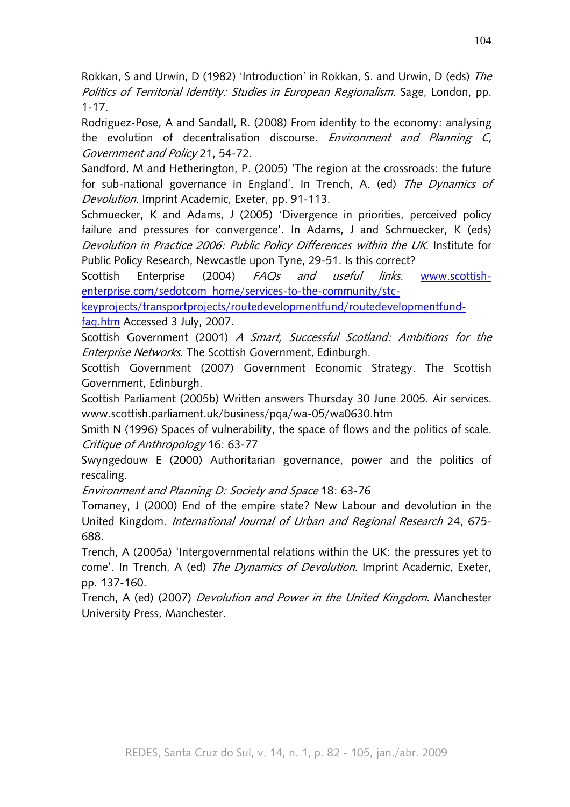Rokkan, S and Urwin, D (1982) 'Introduction' in Rokkan, S. and Urwin, D (eds) The Politics of Territorial Identity: Studies in European Regionalism. Sage, London, pp. 1-17.

Rodriguez-Pose, A and Sandall, R. (2008) From identity to the economy: analysing the evolution of decentralisation discourse. *Environment and Planning C*, Government and Policy 21, 54-72.

Sandford, M and Hetherington, P. (2005) 'The region at the crossroads: the future for sub-national governance in England'. In Trench, A. (ed) The Dynamics of Devolution. Imprint Academic, Exeter, pp. 91-113.

Schmuecker, K and Adams, J (2005) 'Divergence in priorities, perceived policy failure and pressures for convergence'. In Adams, J and Schmuecker, K (eds) Devolution in Practice 2006: Public Policy Differences within the UK. Institute for Public Policy Research, Newcastle upon Tyne, 29-51. Is this correct?

Scottish Enterprise (2004) *FAQs and useful links*. www.scottishenterprise.com/sedotcom\_home/services-to-the-community/stc-

keyprojects/transportprojects/routedevelopmentfund/routedevelopmentfund-

faq.htm Accessed 3 July, 2007.

Scottish Government (2001) A Smart, Successful Scotland: Ambitions for the Enterprise Networks. The Scottish Government, Edinburgh.

Scottish Government (2007) Government Economic Strategy. The Scottish Government, Edinburgh.

Scottish Parliament (2005b) Written answers Thursday 30 June 2005. Air services. www.scottish.parliament.uk/business/pqa/wa-05/wa0630.htm

Smith N (1996) Spaces of vulnerability, the space of flows and the politics of scale. Critique of Anthropology 16: 63-77

Swyngedouw E (2000) Authoritarian governance, power and the politics of rescaling.

Environment and Planning D: Society and Space 18: 63-76

Tomaney, J (2000) End of the empire state? New Labour and devolution in the United Kingdom. International Journal of Urban and Regional Research 24, 675- 688.

Trench, A (2005a) 'Intergovernmental relations within the UK: the pressures yet to come'. In Trench, A (ed) The Dynamics of Devolution. Imprint Academic, Exeter, pp. 137-160.

Trench, A (ed) (2007) Devolution and Power in the United Kingdom. Manchester University Press, Manchester.